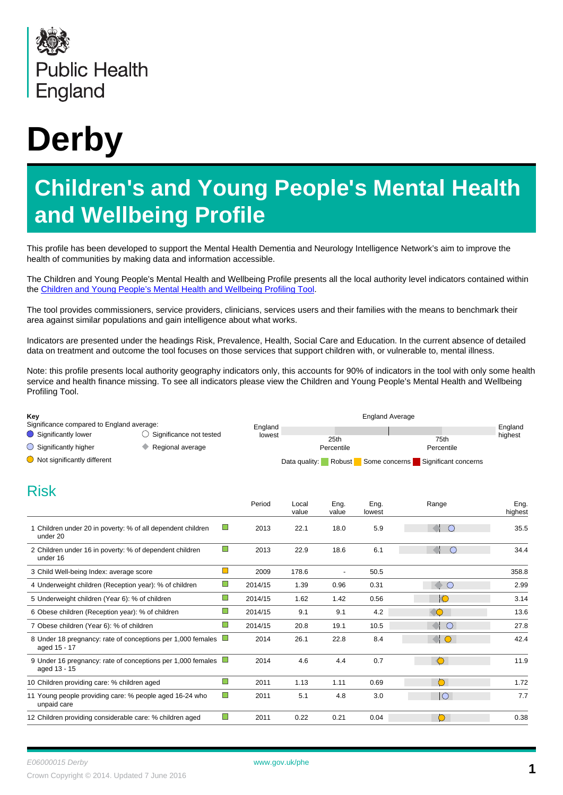

# **Derby**

# **Children's and Young People's Mental Health and Wellbeing Profile**

This profile has been developed to support the Mental Health Dementia and Neurology Intelligence Network's aim to improve the health of communities by making data and information accessible.

The Children and Young People's Mental Health and Wellbeing Profile presents all the local authority level indicators contained within the [Children and Young People's Mental Health and Wellbeing Profiling Tool](http://fingertips.phe.org.uk/profile-group/mental-health/profile/cypmh).

The tool provides commissioners, service providers, clinicians, services users and their families with the means to benchmark their area against similar populations and gain intelligence about what works.

Indicators are presented under the headings Risk, Prevalence, Health, Social Care and Education. In the current absence of detailed data on treatment and outcome the tool focuses on those services that support children with, or vulnerable to, mental illness.

Note: this profile presents local authority geography indicators only, this accounts for 90% of indicators in the tool with only some health service and health finance missing. To see all indicators please view the Children and Young People's Mental Health and Wellbeing Profiling Tool.

| Key<br>Significance compared to England average:                        |                                                             |                                  |                   |                    |                      |                      |                    |
|-------------------------------------------------------------------------|-------------------------------------------------------------|----------------------------------|-------------------|--------------------|----------------------|----------------------|--------------------|
| Significantly lower                                                     | $\bigcirc$ Significance not tested                          |                                  | England<br>lowest |                    |                      |                      | England<br>highest |
| $\bigcirc$ Significantly higher                                         | ۰<br>Regional average                                       |                                  |                   | 25th<br>Percentile |                      | 75th<br>Percentile   |                    |
| $\bigcirc$ Not significantly different                                  |                                                             |                                  | Data quality:     |                    | Robust Some concerns | Significant concerns |                    |
| <b>Risk</b>                                                             |                                                             |                                  |                   |                    |                      |                      |                    |
|                                                                         |                                                             | Period                           | Local<br>value    | Eng.<br>value      | Eng.<br>lowest       | Range                | Eng.<br>highest    |
| 1 Children under 20 in poverty: % of all dependent children<br>under 20 |                                                             | $\Box$<br>2013                   | 22.1              | 18.0               | 5.9                  | $\bigcirc$           | 35.5               |
| 2 Children under 16 in poverty: % of dependent children<br>under 16     |                                                             | $\blacksquare$<br>2013           | 22.9              | 18.6               | 6.1                  | $\bigcirc$           | 34.4               |
| 3 Child Well-being Index: average score                                 |                                                             | $\Box$<br>2009                   | 178.6             | $\blacksquare$     | 50.5                 |                      | 358.8              |
| 4 Underweight children (Reception year): % of children                  |                                                             | $\mathcal{C}$<br>2014/15         | 1.39              | 0.96               | 0.31                 | $\sim$ 0             | 2.99               |
| 5 Underweight children (Year 6): % of children                          |                                                             | $\mathbb{Z}^n$<br>2014/15        | 1.62              | 1.42               | 0.56                 | $  \mathbb{O}$       | 3.14               |
| 6 Obese children (Reception year): % of children                        |                                                             | $\Box$<br>2014/15                | 9.1               | 9.1                | 4.2                  | $\triangle$          | 13.6               |
| 7 Obese children (Year 6): % of children                                |                                                             | $\Box$<br>2014/15                | 20.8              | 19.1               | 10.5                 | $\bigcirc$           | 27.8               |
| aged 15 - 17                                                            | 8 Under 18 pregnancy: rate of conceptions per 1,000 females | $\overline{\phantom{a}}$<br>2014 | 26.1              | 22.8               | 8.4                  | $\triangleleft$ 0    | 42.4               |
| aged 13 - 15                                                            | 9 Under 16 pregnancy: rate of conceptions per 1,000 females | 2014                             | 4.6               | 4.4                | 0.7                  | $\bigcirc$           | 11.9               |
| 10 Children providing care: % children aged                             |                                                             | $\Box$<br>2011                   | 1.13              | 1.11               | 0.69                 | $\circ$              | 1.72               |
| 11 Young people providing care: % people aged 16-24 who<br>unpaid care  |                                                             | $\Box$<br>2011                   | 5.1               | 4.8                | 3.0                  | $\overline{\circ}$   | 7.7                |
| 12 Children providing considerable care: % children aged                |                                                             | П<br>2011                        | 0.22              | 0.21               | 0.04                 | $\circ$              | 0.38               |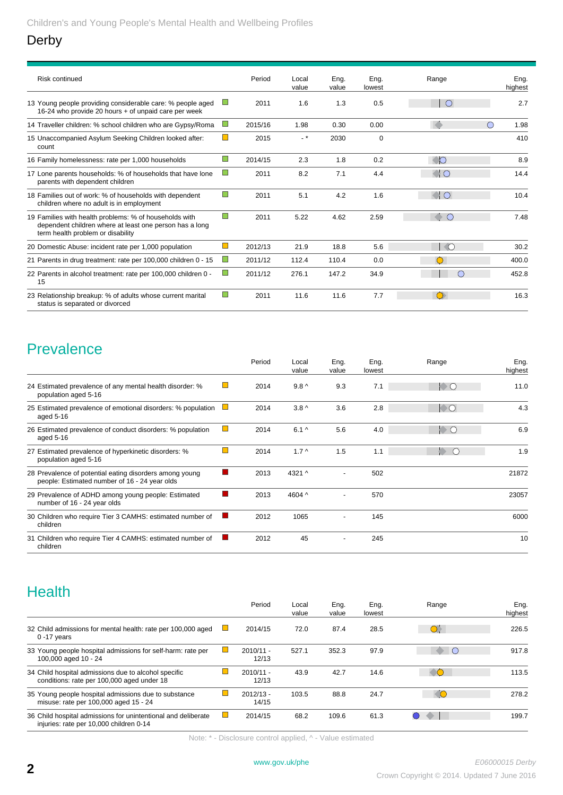#### Derby

| <b>Risk continued</b>                                                                                                                                  |                             | Period  | Local<br>value | Ena.<br>value | Eng.<br>lowest | Range                    | Ena.<br>highest |
|--------------------------------------------------------------------------------------------------------------------------------------------------------|-----------------------------|---------|----------------|---------------|----------------|--------------------------|-----------------|
| 13 Young people providing considerable care: % people aged<br>16-24 who provide 20 hours + of unpaid care per week                                     |                             | 2011    | 1.6            | 1.3           | 0.5            |                          | 2.7             |
| 14 Traveller children: % school children who are Gypsy/Roma                                                                                            | <b>COL</b>                  | 2015/16 | 1.98           | 0.30          | 0.00           | $\left(\right)$          | 1.98            |
| 15 Unaccompanied Asylum Seeking Children looked after:<br>count                                                                                        | $\Box$                      | 2015    | $-$ *          | 2030          | $\mathbf 0$    |                          | 410             |
| 16 Family homelessness: rate per 1,000 households                                                                                                      | $\Box$                      | 2014/15 | 2.3            | 1.8           | 0.2            | IO                       | 8.9             |
| 17 Lone parents households: % of households that have lone<br>parents with dependent children                                                          | $\Box$                      | 2011    | 8.2            | 7.1           | 4.4            | $\bigcap$                | 14.4            |
| 18 Families out of work: % of households with dependent<br>children where no adult is in employment                                                    | $\mathcal{L}_{\mathcal{A}}$ | 2011    | 5.1            | 4.2           | 1.6            | II O                     | 10.4            |
| 19 Families with health problems: % of households with<br>dependent children where at least one person has a long<br>term health problem or disability | $\Box$                      | 2011    | 5.22           | 4.62          | 2.59           | ∩                        | 7.48            |
| 20 Domestic Abuse: incident rate per 1,000 population                                                                                                  | $\Box$                      | 2012/13 | 21.9           | 18.8          | 5.6            | $\overline{\phantom{a}}$ | 30.2            |
| 21 Parents in drug treatment: rate per 100,000 children 0 - 15                                                                                         | $\Box$                      | 2011/12 | 112.4          | 110.4         | 0.0            |                          | 400.0           |
| 22 Parents in alcohol treatment: rate per 100,000 children 0 -<br>15                                                                                   | $\Box$                      | 2011/12 | 276.1          | 147.2         | 34.9           | $\left( \right)$         | 452.8           |
| 23 Relationship breakup: % of adults whose current marital<br>status is separated or divorced                                                          | $\Box$                      | 2011    | 11.6           | 11.6          | 7.7            |                          | 16.3            |

## **Prevalence**

|                                                                                                          |                | Period | Local<br>value   | Eng.<br>value            | Eng.<br>lowest | Range                  | Eng.<br>highest |
|----------------------------------------------------------------------------------------------------------|----------------|--------|------------------|--------------------------|----------------|------------------------|-----------------|
| 24 Estimated prevalence of any mental health disorder: %<br>population aged 5-16                         |                | 2014   | $9.8^{\wedge}$   | 9.3                      | 7.1            | $\bullet$ O            | 11.0            |
| 25 Estimated prevalence of emotional disorders: % population<br>aged 5-16                                |                | 2014   | 3.8 <sub>0</sub> | 3.6                      | 2.8            | $\bullet$ $\circ$      | 4.3             |
| 26 Estimated prevalence of conduct disorders: % population<br>aged 5-16                                  | $\Box$         | 2014   | $6.1^{\circ}$    | 5.6                      | 4.0            | $\mathsf{P}\mathsf{C}$ | 6.9             |
| 27 Estimated prevalence of hyperkinetic disorders: %<br>population aged 5-16                             | $\mathbb{R}^n$ | 2014   | $1.7^$           | 1.5                      | 1.1            | b.<br>$\bigcirc$       | 1.9             |
| 28 Prevalence of potential eating disorders among young<br>people: Estimated number of 16 - 24 year olds |                | 2013   | 4321 ^           | $\overline{\phantom{a}}$ | 502            |                        | 21872           |
| 29 Prevalence of ADHD among young people: Estimated<br>number of 16 - 24 year olds                       |                | 2013   | 4604 ^           | $\overline{\phantom{a}}$ | 570            |                        | 23057           |
| 30 Children who require Tier 3 CAMHS: estimated number of<br>children                                    |                | 2012   | 1065             |                          | 145            |                        | 6000            |
| 31 Children who require Tier 4 CAMHS: estimated number of<br>children                                    |                | 2012   | 45               |                          | 245            |                        | 10              |

## **Health**

|                                                                                                          |               | Period               | Local<br>value | Eng.<br>value | Eng.<br>lowest | Range | Eng.<br>highest |
|----------------------------------------------------------------------------------------------------------|---------------|----------------------|----------------|---------------|----------------|-------|-----------------|
| 32 Child admissions for mental health: rate per 100,000 aged<br>$0 - 17$ years                           |               | 2014/15              | 72.0           | 87.4          | 28.5           |       | 226.5           |
| 33 Young people hospital admissions for self-harm: rate per<br>100,000 aged 10 - 24                      |               | $2010/11 -$<br>12/13 | 527.1          | 352.3         | 97.9           |       | 917.8           |
| 34 Child hospital admissions due to alcohol specific<br>conditions: rate per 100,000 aged under 18       |               | $2010/11 -$<br>12/13 | 43.9           | 42.7          | 14.6           |       | 113.5           |
| 35 Young people hospital admissions due to substance<br>misuse: rate per 100,000 aged 15 - 24            |               | $2012/13 -$<br>14/15 | 103.5          | 88.8          | 24.7           |       | 278.2           |
| 36 Child hospital admissions for unintentional and deliberate<br>injuries: rate per 10,000 children 0-14 | $\mathcal{L}$ | 2014/15              | 68.2           | 109.6         | 61.3           |       | 199.7           |

Note: \* - Disclosure control applied, ^ - Value estimated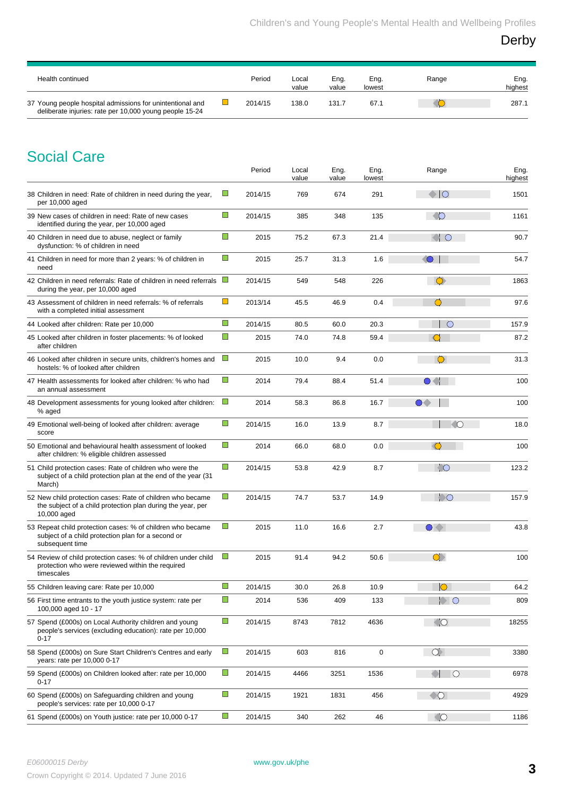Derby

| Health continued                                                                                                     | Period  | Local<br>value | Eng.<br>value | Eng.<br>lowest | Range | Eng.<br>highest |
|----------------------------------------------------------------------------------------------------------------------|---------|----------------|---------------|----------------|-------|-----------------|
| 37 Young people hospital admissions for unintentional and<br>deliberate injuries: rate per 10,000 young people 15-24 | 2014/15 | 138.0          | 131.7         | 67.1           |       | 287.1           |

## Social Care

|                                                                                                                                          |                | Period  | Local<br>value | Eng.<br>value | Eng.<br>lowest | Range                      | Eng.<br>highest |
|------------------------------------------------------------------------------------------------------------------------------------------|----------------|---------|----------------|---------------|----------------|----------------------------|-----------------|
| 38 Children in need: Rate of children in need during the year,<br>per 10,000 aged                                                        | $\Box$         | 2014/15 | 769            | 674           | 291            | $\bullet$ 10               | 1501            |
| 39 New cases of children in need: Rate of new cases<br>identified during the year, per 10,000 aged                                       | $\blacksquare$ | 2014/15 | 385            | 348           | 135            | $\circ$ 0                  | 1161            |
| 40 Children in need due to abuse, neglect or family<br>dysfunction: % of children in need                                                | $\Box$         | 2015    | 75.2           | 67.3          | 21.4           | $\bigcirc$ O               | 90.7            |
| 41 Children in need for more than 2 years: % of children in<br>need                                                                      | $\Box$         | 2015    | 25.7           | 31.3          | 1.6            | $\bigcirc$                 | 54.7            |
| 42 Children in need referrals: Rate of children in need referrals<br>during the year, per 10,000 aged                                    | $\mathbb{Z}^2$ | 2014/15 | 549            | 548           | 226            | $\bigcirc$                 | 1863            |
| 43 Assessment of children in need referrals: % of referrals<br>with a completed initial assessment                                       | $\Box$         | 2013/14 | 45.5           | 46.9          | 0.4            | $\circ$                    | 97.6            |
| 44 Looked after children: Rate per 10,000                                                                                                | $\Box$         | 2014/15 | 80.5           | 60.0          | 20.3           | $\circ$                    | 157.9           |
| 45 Looked after children in foster placements: % of looked<br>after children                                                             | $\Box$         | 2015    | 74.0           | 74.8          | 59.4           |                            | 87.2            |
| 46 Looked after children in secure units, children's homes and<br>hostels: % of looked after children                                    | $\Box$         | 2015    | 10.0           | 9.4           | 0.0            | $\circ$                    | 31.3            |
| 47 Health assessments for looked after children: % who had<br>an annual assessment                                                       | $\blacksquare$ | 2014    | 79.4           | 88.4          | 51.4           | $\bullet$ . $\blacksquare$ | 100             |
| 48 Development assessments for young looked after children:<br>% aged                                                                    | $\Box$         | 2014    | 58.3           | 86.8          | 16.7           | $\bigcirc$                 | 100             |
| 49 Emotional well-being of looked after children: average<br>score                                                                       | $\Box$         | 2014/15 | 16.0           | 13.9          | 8.7            | $\circ$                    | 18.0            |
| 50 Emotional and behavioural health assessment of looked<br>after children: % eligible children assessed                                 | $\Box$         | 2014    | 66.0           | 68.0          | 0.0            | $\bigcirc$                 | 100             |
| 51 Child protection cases: Rate of children who were the<br>subject of a child protection plan at the end of the year (31)<br>March)     | $\Box$         | 2014/15 | 53.8           | 42.9          | 8.7            | $\sqrt{2}$                 | 123.2           |
| 52 New child protection cases: Rate of children who became<br>the subject of a child protection plan during the year, per<br>10,000 aged | $\blacksquare$ | 2014/15 | 74.7           | 53.7          | 14.9           | $\bullet$                  | 157.9           |
| 53 Repeat child protection cases: % of children who became<br>subject of a child protection plan for a second or<br>subsequent time      | $\Box$         | 2015    | 11.0           | 16.6          | 2.7            | $\bullet$ $\bullet$        | 43.8            |
| 54 Review of child protection cases: % of children under child<br>protection who were reviewed within the required<br>timescales         | $\Box$         | 2015    | 91.4           | 94.2          | 50.6           | $\bullet$                  | 100             |
| 55 Children leaving care: Rate per 10,000                                                                                                | $\Box$         | 2014/15 | 30.0           | 26.8          | 10.9           | $\bigcap$                  | 64.2            |
| 56 First time entrants to the youth justice system: rate per<br>100,000 aged 10 - 17                                                     | $\Box$         | 2014    | 536            | 409           | 133            | ЮO                         | 809             |
| 57 Spend (£000s) on Local Authority children and young<br>people's services (excluding education): rate per 10,000<br>$0 - 17$           | $\Box$         | 2014/15 | 8743           | 7812          | 4636           | $\bigcirc$                 | 18255           |
| 58 Spend (£000s) on Sure Start Children's Centres and early<br>years: rate per 10,000 0-17                                               | $\blacksquare$ | 2014/15 | 603            | 816           | $\pmb{0}$      | $\bigcirc$                 | 3380            |
| 59 Spend (£000s) on Children looked after: rate per 10,000<br>$0 - 17$                                                                   | $\Box$         | 2014/15 | 4466           | 3251          | 1536           | I O                        | 6978            |
| 60 Spend (£000s) on Safeguarding children and young<br>people's services: rate per 10,000 0-17                                           | $\blacksquare$ | 2014/15 | 1921           | 1831          | 456            | $\bullet$                  | 4929            |
| 61 Spend (£000s) on Youth justice: rate per 10,000 0-17                                                                                  | $\mathbb{R}^n$ | 2014/15 | 340            | 262           | 46             | $\bigcirc$                 | 1186            |